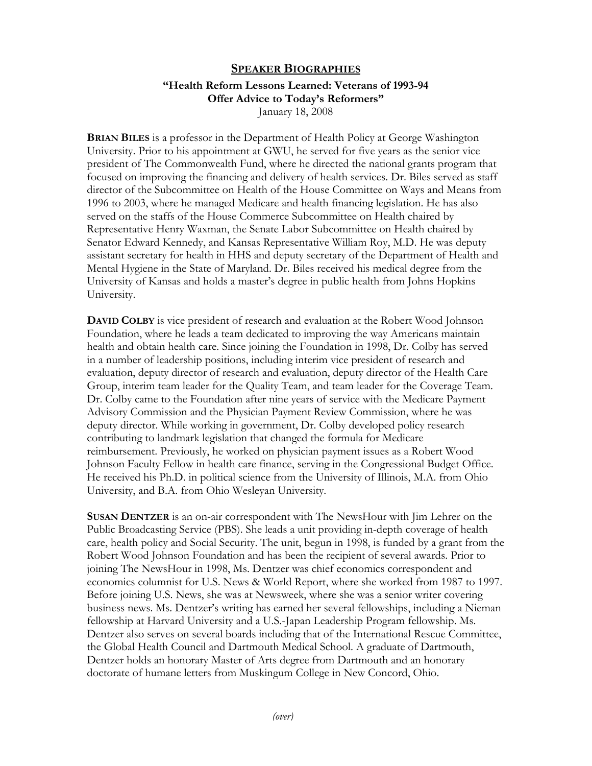## **SPEAKER BIOGRAPHIES**

## **"Health Reform Lessons Learned: Veterans of 1993-94 Offer Advice to Today's Reformers"**  January 18, 2008

**BRIAN BILES** is a professor in the Department of Health Policy at George Washington University. Prior to his appointment at GWU, he served for five years as the senior vice president of The Commonwealth Fund, where he directed the national grants program that focused on improving the financing and delivery of health services. Dr. Biles served as staff director of the Subcommittee on Health of the House Committee on Ways and Means from 1996 to 2003, where he managed Medicare and health financing legislation. He has also served on the staffs of the House Commerce Subcommittee on Health chaired by Representative Henry Waxman, the Senate Labor Subcommittee on Health chaired by Senator Edward Kennedy, and Kansas Representative William Roy, M.D. He was deputy assistant secretary for health in HHS and deputy secretary of the Department of Health and Mental Hygiene in the State of Maryland. Dr. Biles received his medical degree from the University of Kansas and holds a master's degree in public health from Johns Hopkins University.

**DAVID COLBY** is vice president of research and evaluation at the Robert Wood Johnson Foundation, where he leads a team dedicated to improving the way Americans maintain health and obtain health care. Since joining the Foundation in 1998, Dr. Colby has served in a number of leadership positions, including interim vice president of research and evaluation, deputy director of research and evaluation, deputy director of the Health Care Group, interim team leader for the Quality Team, and team leader for the Coverage Team. Dr. Colby came to the Foundation after nine years of service with the Medicare Payment Advisory Commission and the Physician Payment Review Commission, where he was deputy director. While working in government, Dr. Colby developed policy research contributing to landmark legislation that changed the formula for Medicare reimbursement. Previously, he worked on physician payment issues as a Robert Wood Johnson Faculty Fellow in health care finance, serving in the Congressional Budget Office. He received his Ph.D. in political science from the University of Illinois, M.A. from Ohio University, and B.A. from Ohio Wesleyan University.

**SUSAN DENTZER** is an on-air correspondent with The NewsHour with Jim Lehrer on the Public Broadcasting Service (PBS). She leads a unit providing in-depth coverage of health care, health policy and Social Security. The unit, begun in 1998, is funded by a grant from the Robert Wood Johnson Foundation and has been the recipient of several awards. Prior to joining The NewsHour in 1998, Ms. Dentzer was chief economics correspondent and economics columnist for U.S. News & World Report, where she worked from 1987 to 1997. Before joining U.S. News, she was at Newsweek, where she was a senior writer covering business news. Ms. Dentzer's writing has earned her several fellowships, including a Nieman fellowship at Harvard University and a U.S.-Japan Leadership Program fellowship. Ms. Dentzer also serves on several boards including that of the International Rescue Committee, the Global Health Council and Dartmouth Medical School. A graduate of Dartmouth, Dentzer holds an honorary Master of Arts degree from Dartmouth and an honorary doctorate of humane letters from Muskingum College in New Concord, Ohio.